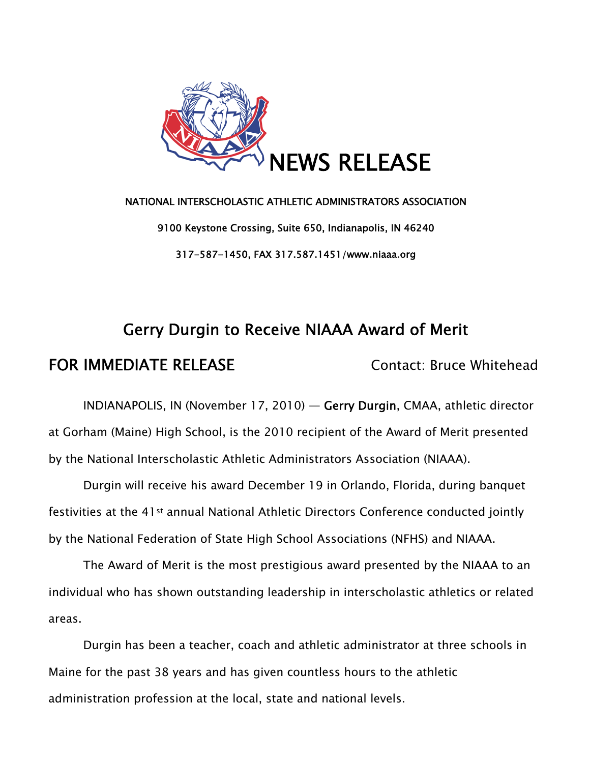

# NATIONAL INTERSCHOLASTIC ATHLETIC ADMINISTRATORS ASSOCIATION 9100 Keystone Crossing, Suite 650, Indianapolis, IN 46240 317-587-1450, FAX 317.587.1451/www.niaaa.org

## Gerry Durgin to Receive NIAAA Award of Merit

### FOR IMMEDIATE RELEASE Contact: Bruce Whitehead

INDIANAPOLIS, IN (November 17, 2010) — Gerry Durgin, CMAA, athletic director at Gorham (Maine) High School, is the 2010 recipient of the Award of Merit presented by the National Interscholastic Athletic Administrators Association (NIAAA).

Durgin will receive his award December 19 in Orlando, Florida, during banquet festivities at the 41st annual National Athletic Directors Conference conducted jointly by the National Federation of State High School Associations (NFHS) and NIAAA.

The Award of Merit is the most prestigious award presented by the NIAAA to an individual who has shown outstanding leadership in interscholastic athletics or related areas.

Durgin has been a teacher, coach and athletic administrator at three schools in Maine for the past 38 years and has given countless hours to the athletic administration profession at the local, state and national levels.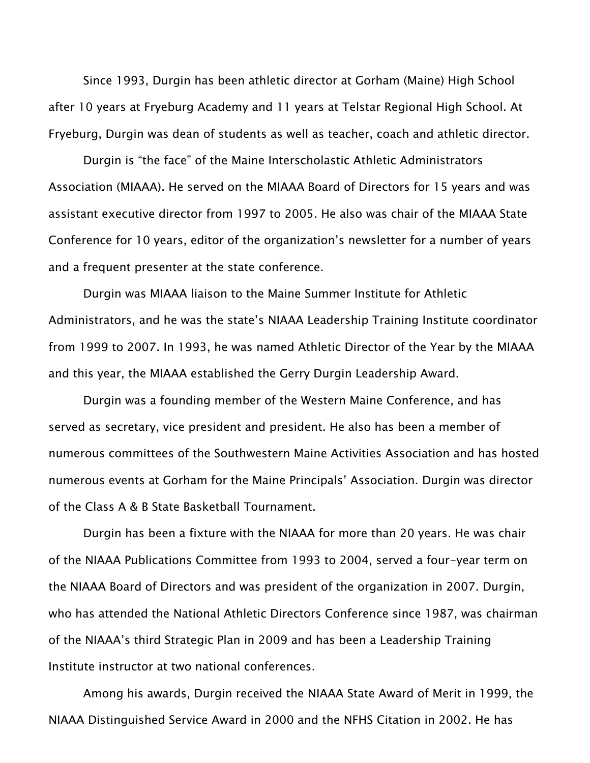Since 1993, Durgin has been athletic director at Gorham (Maine) High School after 10 years at Fryeburg Academy and 11 years at Telstar Regional High School. At Fryeburg, Durgin was dean of students as well as teacher, coach and athletic director.

 Durgin is "the face" of the Maine Interscholastic Athletic Administrators Association (MIAAA). He served on the MIAAA Board of Directors for 15 years and was assistant executive director from 1997 to 2005. He also was chair of the MIAAA State Conference for 10 years, editor of the organization's newsletter for a number of years and a frequent presenter at the state conference.

Durgin was MIAAA liaison to the Maine Summer Institute for Athletic Administrators, and he was the state's NIAAA Leadership Training Institute coordinator from 1999 to 2007. In 1993, he was named Athletic Director of the Year by the MIAAA and this year, the MIAAA established the Gerry Durgin Leadership Award.

 Durgin was a founding member of the Western Maine Conference, and has served as secretary, vice president and president. He also has been a member of numerous committees of the Southwestern Maine Activities Association and has hosted numerous events at Gorham for the Maine Principals' Association. Durgin was director of the Class A & B State Basketball Tournament.

 Durgin has been a fixture with the NIAAA for more than 20 years. He was chair of the NIAAA Publications Committee from 1993 to 2004, served a four-year term on the NIAAA Board of Directors and was president of the organization in 2007. Durgin, who has attended the National Athletic Directors Conference since 1987, was chairman of the NIAAA's third Strategic Plan in 2009 and has been a Leadership Training Institute instructor at two national conferences.

 Among his awards, Durgin received the NIAAA State Award of Merit in 1999, the NIAAA Distinguished Service Award in 2000 and the NFHS Citation in 2002. He has